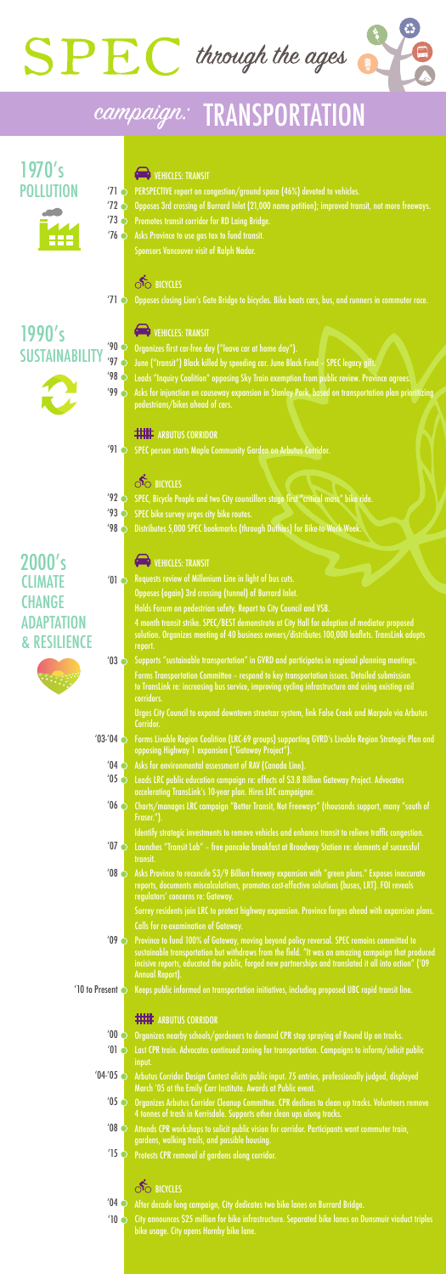Asks for injunction on causeway expansion in Stanley Park, based on transportation plan prioritizing pedestrians/bikes ahead of cars.  $'99$ 

### **ENTILE ARBUTUS CORRIDOR**

Organizes first car-free day ("leave car at home day").

June ("transit") Black killed by speeding car. June Black Fund – SPEC legacy gift.

Requests review of Millenium Line in light of bus cuts. Opposes (again) 3rd crossing (tunnel) of Burrard Inlet. Holds Forum on pedestrian safety. Report to City Council and VSB. 4 month transit strike. SPEC/BEST demonstrate at City Hall for adoption of mediator proposed solution. Organizes meeting of 40 business owners/distributes 100,000 leaflets. TransLink adopts report.  $'01$ 

Leads "Inquiry Coalition" opposing Sky Train exemption from public review. Province agrees.

Supports "sustainable transportation" in GVRD and participates in regional planning meetings. Forms Transportation Committee – respond to key transportation issues. Detailed submission to TransLink re: increasing bus service, improving cycling infrastructure and using existing rail corridors.  $'03$ 

- Forms Livable Region Coalition (LRC-69 groups) supporting GVRD's Livable Region Strategic Plan and opposing Highway 1 expansion ("Gateway Project").  $'03$ -'04
	- Asks for environmental assessment of RAV (Canada Line).  $'04$
	- Leads LRC public education campaign re: effects of \$3.8 Billion Gateway Project. Advocates accelerating TransLink's 10-year plan. Hires LRC campaigner.  $'05$
	- Charts/manages LRC campaign "Better Transit, Not Freeways" (thousands support, many "south of Fraser.").  $'06$

Identify strategic investments to remove vehicles and enhance transit to relieve traffic congestion.

- Launches "Transit Lab" free pancake breakfast at Broadway Station re: elements of successful transit.  $'07$
- Asks Province to reconcile \$3/9 Billion freeway expansion with "green plans." Exposes inaccurate reports, documents miscalculations, promotes cost-effective solutions (buses, LRT). FOI reveals regulators' concerns re: Gateway.  $'08$

- Organizes nearby schools/gardeners to demand CPR stop spraying of Round Up on tracks.  $'00$
- Last CPR train. Advocates continued zoning for transportation. Campaigns to inform/solicit public input.  $'01$   $\circ$
- Arbutus Corridor Design Contest elicits public input. 75 entries, professionally judged, displayed March '05 at the Emily Carr Institute. Awards at Public event.  $'04$ <sup>- $'05$ </sup>
	- Organizes Arbutus Corridor Cleanup Committee. CPR declines to clean up tracks. Volunteers remove 4 tonnes of trash in Kerrisdale. Supports other clean ups along tracks.  $^{\prime}$ 05 $\bigcirc$
	- Attends CPR workshops to solicit public vision for corridor. Participants want commuter train, gardens, walking trails, and possible housing.  $'08$
	- Protests CPR removal of gardens along corridor.  $'15$

### **SO BICYCLES**

- After decade long campaign, City dedicates two bike lanes on Burrard Bridge.  $'04$
- City announces \$25 million for bike infrastructure. Separated bike lanes on Dunsmuir viaduct triples bike usage. City opens Hornby bike lane.  $'10$

Urges City Council to expand downtown streetcar system, link False Creek and Marpole via Arbutus Corridor.

- PERSPECTIVE report on congestion/ground space (46%) devoted to vehicles. '71
- Opposes 3rd crossing of Burrard Inlet (21,000 name petition); improved transit, not more freeways.  $'72$   $\circ$
- Promotes transit corridor for RD Laing Bridge. '73
- Asks Province to use gas tax to fund transit. Sponsors Vancouver visit of Ralph Nadar. '76

### **SO BICYCLES**

SPEC person starts Maple Community Garden on Arbutus Corridor. '91

### **SO BICYCLES**

SPEC, Bicycle People and two City councillors stage first "critical mass" bike ride.  $'92$ 

- SPEC bike survey urges city bike routes.  $'93$
- **498 C** Distributes 5,000 SPEC bookmarks (through Duthies) for Bike-to-Work-Week.

Surrey residents join LRC to protest highway expansion. Province forges ahead with expansion plans. Calls for re-examination of Gateway.

 $'09$ 

Province to fund 100% of Gateway, moving beyond policy reversal. SPEC remains committed to sustainable transportation but withdraws from the field. "It was an amazing campaign that produced

- incisive reports, educated the public, forged new partnerships and translated it all into action" ('09 Annual Report).
- Keeps public informed on transportation initiatives, including proposed UBC rapid transit line. '10 to Present

#### **ENINE ARBUTUS CORRIDOR**



'98

Opposes closing Lion's Gate Bridge to bicycles. Bike beats cars, bus, and runners in commuter race.

#### '90 '97 SUSTAINA 1990's



### **COMPTENENT VEHICLES: TRANSIT**



## campaign: TRANSPORTATION

2000's **CLIMATE CHANGE** ADAPTATION

### **CONTROLLES: TRANSIT**

### & RESILIENCE



POLLUTION 1970's



### **VEHICLES: TRANSIT**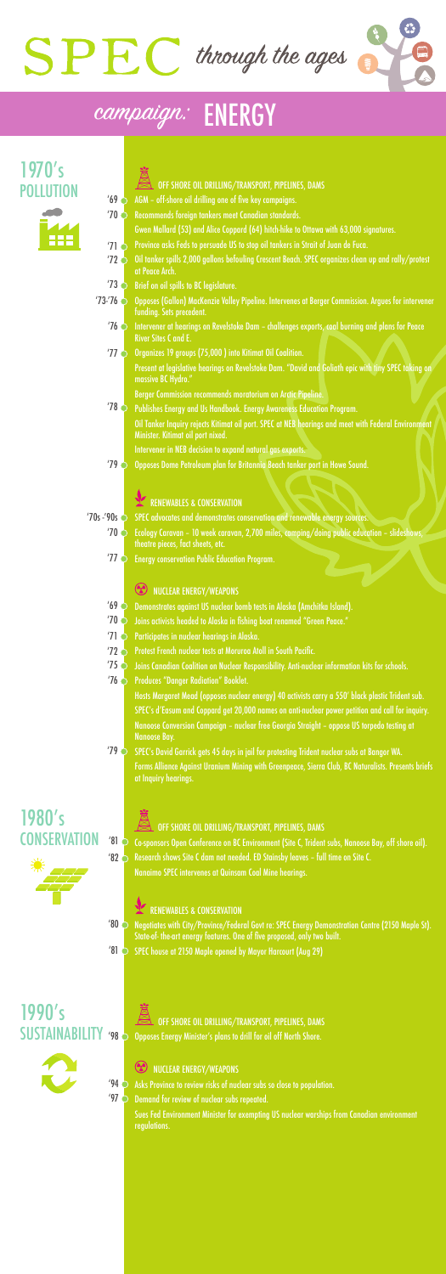- Demonstrates against US nuclear bomb tests in Alaska (Amchitka Island).  $'69$
- Joins activists headed to Alaska in fishing boat renamed "Green Peace." '70
- Participates in nuclear hearings in Alaska. '71
- Protest French nuclear tests at Moruroa Atoll in South Pacific.  $'72$
- Joins Canadian Coalition on Nuclear Responsibility. Anti-nuclear information kits for schools.  $'75$
- Produces "Danger Radiation" Booklet.  $'76$

Present at legislative hearings on Revelstoke Dam. "David and Goliath epic with tiny SPEC taking on massive BC Hydro."

Berger Commission recommends moratorium on Arctic Pipeline.

**78 C** Publishes Energy and Us Handbook. Energy Awareness Education Program.

Oil Tanker Inquiry rejects Kitimat oil port. SPEC at NEB hearings and meet with Federal Environment Minister. Kitimat oil port nixed.

SPEC's David Garrick gets 45 days in jail for protesting Trident nuclear subs at Bangor WA. Forms Alliance Against Uranium Mining with Greenpeace, Sierra Club, BC Naturalists. Presents briefs at Inquiry hearings.  $'79$ 

Intervener in NEB decision to expand natural gas exports.

- OFF SHORE OIL DRILLING/TRANSPORT, PIPELINES, DAMS
- AGM off-shore oil drilling one of five key campaigns.  $'69$
- Recommends foreign tankers meet Canadian standards. '70
	- Gwen Mallard (53) and Alice Coppard (64) hitch-hike to Ottawa with 63,000 signatures.
- Province asks Feds to persuade US to stop oil tankers in Strait of Juan de Fuca. '71
- Oil tanker spills 2,000 gallons befouling Crescent Beach. SPEC organizes clean up and rally/protest at Peace Arch.  $'72$   $\bigcirc$
- $'73$   $\bigcirc$  Brief on oil spills to BC legislature.
- '73-'76  $\bigcirc$  Opposes (Gallon) MacKenzie Valley Pipeline. Intervenes at Berger Commission. Argues for intervener funding. Sets precedent.
	- Intervener at hearings on Revelstoke Dam challenges exports, coal burning and plans for Peace River Sites C and E. '76
	- Organizes 19 groups (75,000 ) into Kitimat Oil Coalition. '77

Opposes Dome Petroleum plan for Britannia Beach tanker port in Howe Sound.

### RENEWABLES & CONSERVATION

'70s -'90s  $\bigcirc$  SPEC advocates and demonstrates conservation and renewable energy sources.

Ecology Caravan – 10 week caravan, 2,700 miles, camping/doing public education – slideshows, '70 theatre pieces, fact sheets, etc.

#### NUCLEAR ENERGY/WEAPONS

- $'80$ Negotiates with City/Province/Federal Govt re: SPEC Energy Demonstration Centre (2150 Maple St). State-of- the-art energy features. One of five proposed, only two built.
- '81 SPEC house at 2150 Maple opened by Mayor Harcourt (Aug 29)

### OFF SHORE OIL DRILLING/TRANSPORT, PIPELINES, DAMS Opposes Energy Minister's plans to drill for oil off North Shore.

### **CO NUCLEAR ENERGY/WEAPONS**

 $'94$ Asks Province to review risks of nuclear subs so close to population.

 $'97$ Demand for review of nuclear subs repeated.

Energy conservation Public Education Program. '77

> Hosts Margaret Mead (opposes nuclear energy) 40 activists carry a 550' black plastic Trident sub. SPEC's d'Easum and Coppard get 20,000 names on anti-nuclear power petition and call for inquiry. Nanoose Conversion Campaign – nuclear free Georgia Straight – oppose US torpedo testing at Nanoose Bay.

'79



## campaign: ENERGY

#### '98 SUSTAINABILITY 1990's



POLLUTION 1970's



## CONSERVATION 1980's



### OFF SHORE OIL DRILLING/TRANSPORT, PIPELINES, DAMS

'81  $'82$ Co-sponsors Open Conference on BC Environment (Site C, Trident subs, Nanoose Bay, off shore oil). Research shows Site C dam not needed. ED Stainsby leaves – full time on Site C. Nanaimo SPEC intervenes at Quinsam Coal Mine hearings.

#### RENEWABLES & CONSERVATION

Sues Fed Environment Minister for exempting US nuclear warships from Canadian environment regulations.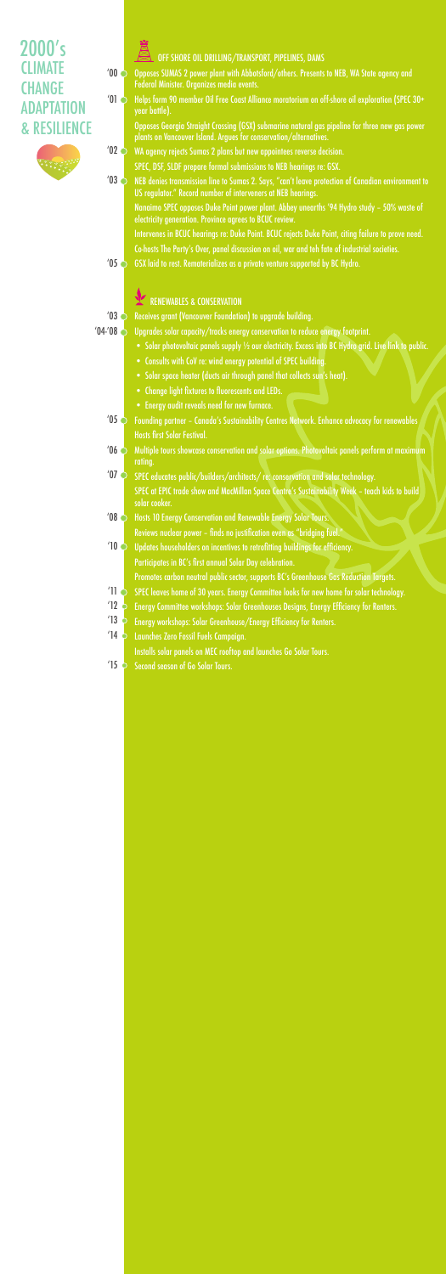#### OFF SHORE OIL DRILLING/TRANSPORT, PIPELINES, DAMS

- Opposes SUMAS 2 power plant with Abbotsford/others. Presents to NEB, WA State agency and Federal Minister. Organizes media events.  $'00$
- Helps form 90 member Oil Free Coast Alliance moratorium on off-shore oil exploration (SPEC 30+ year battle).  $'01$   $\bullet$

Opposes Georgia Straight Crossing (GSX) submarine natural gas pipeline for three new gas power plants on Vancouver Island. Argues for conservation/alternatives.

- WA agency rejects Sumas 2 plans but new appointees reverse decision.  $'02$ 
	- SPEC, DSF, SLDF prepare formal submissions to NEB hearings re: GSX.
- NEB denies transmission line to Sumas 2. Says, "can't leave protection of Canadian environment to US regulator." Record number of interveners at NEB hearings.  $'03$

Receives grant (Vancouver Foundation) to upgrade building.  $'03$ 

Upgrades solar capacity/tracks energy conservation to reduce energy footprint.  $'04$  $'08$ 

- Solar photovoltaic panels supply 1/2 our electricity. Excess into BC Hydro grid. Live link to public.
- Consults with CoV re: wind energy potential of SPEC building.
- Solar space heater (ducts air through panel that collects sun's heat).
- Change light fixtures to fluorescents and LEDs.
- Energy audit reveals need for new furnace.
- Founding partner Canada's Sustainability Centres Network. Enhance advocacy for renewables Hosts first Solar Festival.  $'05$
- Multiple tours showcase conservation and solar options. Photovoltaic panels perform at maximum rating.  $106$
- SPEC educates public/builders/architects/ re: conservation and solar technology. SPEC at EPIC trade show and MacMillan Space Centre's Sustainability Week - teach kids to build solar cooker.  $'07$
- **408 State State 10 And State State State State Senson Supersy Solar Tours.** Reviews nuclear power – finds no justification even as "bridging fuel."
- Updates householders on incentives to retrofitting buildings for efficiency. Participates in BC's first annual Solar Day celebration. '10
	- Promotes carbon neutral public sector, supports BC's Greenhouse Gas Reduction Targets.
- SPEC leaves home of 30 years. Energy Committee looks for new home for solar technology. '11
- Energy Committee workshops: Solar Greenhouses Designs, Energy Efficiency for Renters.  $'12$
- Energy workshops: Solar Greenhouse/Energy Efficiency for Renters. '13
- Launches Zero Fossil Fuels Campaign. Installs solar panels on MEC rooftop and launches Go Solar Tours.  $'14$
- Second season of Go Solar Tours.  $'15$

Nanaimo SPEC opposes Duke Point power plant. Abbey unearths '94 Hydro study – 50% waste of electricity generation. Province agrees to BCUC review.

Intervenes in BCUC hearings re: Duke Point. BCUC rejects Duke Point, citing failure to prove need.

Co-hosts The Party's Over, panel discussion on oil, war and teh fate of industrial societies.

 $'05$   $\circ$  GSX laid to rest. Rematerializes as a private venture supported by BC Hydro.

### RENEWABLES & CONSERVATION

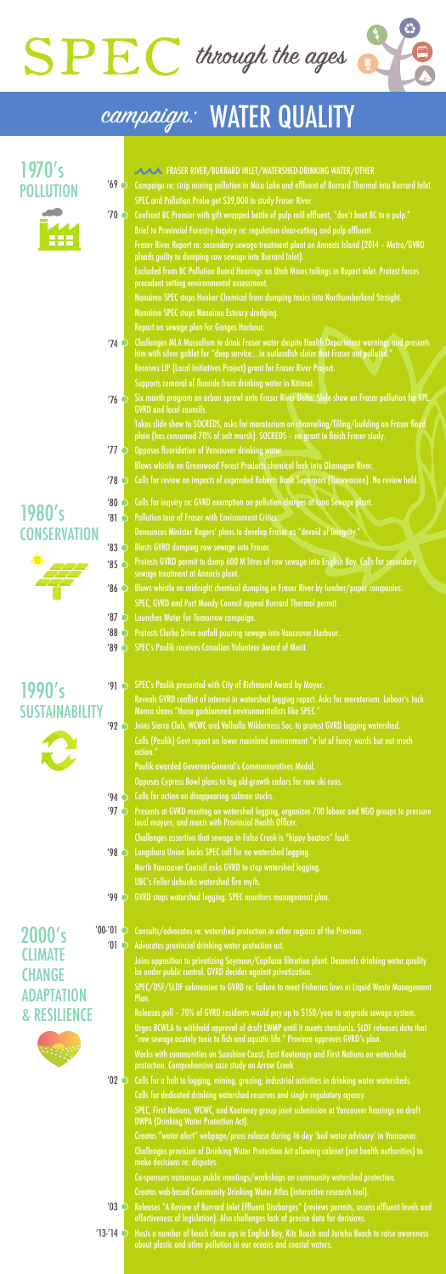

## campaign: WATER QUALITY

**CONSERVATION** 1980's



POLLUTION 1970's



SUSTAIN 1990's



- Challenges MLA Mussallem to drink Fraser water despite Health Department warnings and presents him with silver goblet for "deep service... in outlandish claim that Fraser not polluted." Receives LIP (Local Initiatives Project) grant for Fraser River Project. Supports removal of fluoride from drinking water in Kitimat. '74
- Six month program on urban sprawl onto Fraser River Delta. Slide show on Fraser pollution for VPL, GVRD and local councils.  $'76$

Fraser River Report re: secondary sewage treatment plant on Annacis Island (2014 – Metro/GVRD pleads guilty to dumping raw sewage into Burrard Inlet).

Takes slide show to SOCREDS, asks for moratorium on channeling/filling/building on Fraser flood plain (has consumed 70% of salt marsh). SOCREDS - no grant to finish Fraser study.

Excluded from BC Pollution Board Hearings on Utah Mines tailings in Rupert inlet. Protest forces precedent setting environmental assessment.

Nanaimo SPEC stops Hooker Chemical from dumping toxics into Northumberland Straight. Nanaimo SPEC stops Nanaimo Estuary dredging.

Report on sewage plan for Ganges Harbour.

SPEC's Paulik presented with City of Richmond Award by Mayor.  $'91$ 

Joins Sierra Club, WCWC and Valhalla Wilderness Soc. to protest GVRD logging watershed. Calls (Paulik) Govt report on lower mainland environment "a lot of fancy words but not much action."  $'92$ 

Calls for a halt to logging, mining, grazing, industrial activities in drinking water watersheds. Calls for dedicated drinking watershed reserves and single regulatory agency.  $'02$ 

Releases "A Review of Burrard Inlet Effluent Discharges" (reviews permits, assess effluent levels and effectiveness of legislation). Also challenges lack of precise data for decisions.  $'03$ 

Hosts a number of beach clean ups in English Bay, Kits Beach and Jericho Beach to raise awareness about plastic and other pollution in our oceans and coastal waters.  $'13-'14$   $\odot$ 

Reveals GVRD conflict of interest in watershed logging report. Asks for moratorium. Labour's Jack Monro slams "those goddamned environmentalists like SPEC."

- FRASER RIVER/BURRARD INLET/WATERSHED-DRINKING WATER/OTHER
- Campaign re: strip mining pollution in Mica Lake and effluent of Burrard Thermal into Burrard Inlet. SPEC and Pollution Probe get \$39,000 to study Fraser River.  $'69$
- Confront BC Premier with gift wrapped bottle of pulp mill effluent, "don't beat BC to a pulp." Brief to Provincial Forestry Inquiry re: regulation clear-cutting and pulp effluent. '70

- '94  $\bigcirc$  Calls for action on disappearing salmon stocks.
- Presents at GVRD meeting on watershed logging, organizes 700 labour and NGO groups to pressure local mayors, and meets with Provincial Health Officer. Challenges assertion that sewage in False Creek is "hippy boaters" fault.  $'97$
- '98 C Longshore Union backs SPEC call for no watershed logging. North Vancouver Council asks GVRD to stop watershed logging. UBC's Feller debunks watershed fire myth.
- GVRD stops watershed logging. SPEC monitors management plan. '99

2000's 100-'01 2 **CLIMATE** 

## **CHANGE** ADAPTATION & RESILIENCE



Paulik awarded Governor-General's Commemoratives Medal.

Opposes Cypress Bowl plans to log old-growth cedars for new ski runs.

- Opposes fluoridation of Vancouver drinking water. Blows whistle on Greenwood Forest Products chemical leak into Okanagan River. '77
- Calls for review on impacts of expanded Roberts Bank Superport (Tsawwassen). No review held. '78

Consults/advocates re: watershed protection in other regions of the Province. Advocates provincial drinking water protection act.

- Calls for inquiry re: GVRD exemption on pollution charges at Iona Sewage plant. '80
	- Pollution tour of Fraser with Environment Critics.
		- Denounces Minister Rogers' plans to develop Fraser as "devoid of integrity."
- Blasts GVRD dumping raw sewage into Fraser. '83
- Protests GVRD permit to dump 600 M litres of raw sewage into English Bay. Calls for secondary sewage treatment at Annacis plant. '85 C
- Blows whistle on midnight chemical dumping in Fraser River by lumber/paper companies. SPEC, GVRD and Port Moody Council appeal Burrard Thermal permit.  $'86$
- Launches Water for Tomorrow campaign. '87
- Protests Clarke Drive outfall pouring sewage into Vancouver Harbour. '88

Joins opposition to privatizing Seymour/Capilano filtration plant. Demands drinking water quality be under public control. GVRD decides against privatization.

SPEC/DSF/SLDF submission to GVRD re: failure to meet Fisheries laws in Liquid Waste Management Plan.

Releases poll – 70% of GVRD residents would pay up to \$150/year to upgrade sewage system.

Urges BCWLA to withhold approval of draft LWMP until it meets standards. SLDF releases data that "raw sewage acutely toxic to fish and aquatic life." Province approves GVRD's plan.

Works with communities on Sunshine Coast, East Kootenays and First Nations on watershed protection. Comprehensive case study on Arrow Creek

SPEC, First Nations, WCWC, and Kootenay group joint submission at Vancouver hearings on draft DWPA (Drinking Water Protection Act).

Creates "water alert" webpage/press release during 16 day 'boil water advisory' in Vancouver. Challenges provision of Drinking Water Protection Act allowing cabinet (not health authorities) to make decisions re: disputes.

Co-sponsors numerous public meetings/workshops on community watershed protection.

Creates web-based Community Drinking Water Atlas (interactive research tool).

'81

'89 C SPEC's Paulik receives Canadian Volunteer Award of Merit.

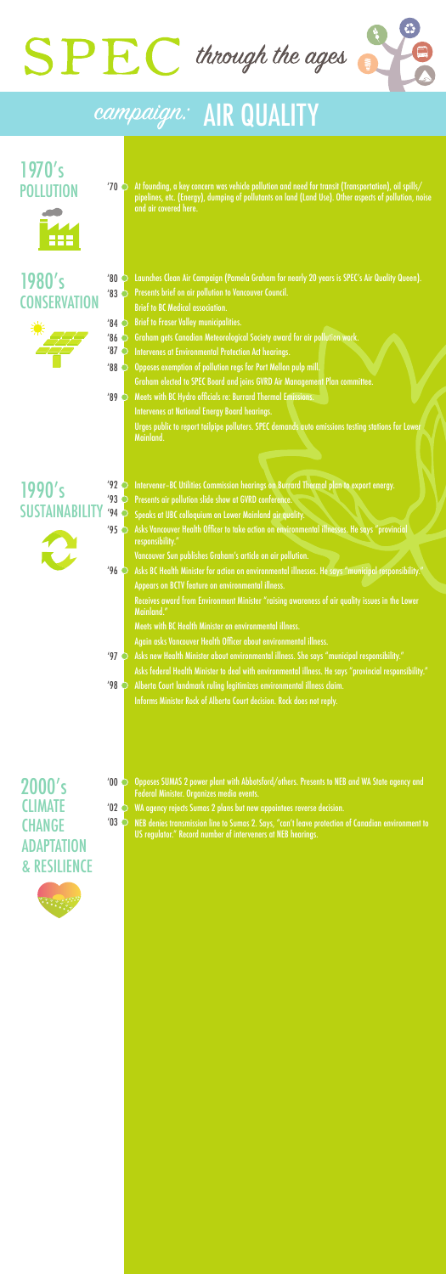- Speaks at UBC colloquium on Lower Mainland air quality.
- $\gamma$ 95  $\bigcirc$  Asks Vancouver Health Officer to take action on environmental illnesses. He says "provincial  $\gamma$ responsibility."
	- Vancouver Sun publishes Graham's article on air pollution.
- Asks BC Health Minister for action on environmental illnesses. He says "municipal responsibility." Appears on BCTV feature on environmental illness.  $'96$

- Opposes SUMAS 2 power plant with Abbotsford/others. Presents to NEB and WA State agency and Federal Minister. Organizes media events.  $'00$
- WA agency rejects Sumas 2 plans but new appointees reverse decision.  $'02$
- NEB denies transmission line to Sumas 2. Says, "can't leave protection of Canadian environment to US regulator." Record number of interveners at NEB hearings.  $'03$

At founding, a key concern was vehicle pollution and need for transit (Transportation), oil spills/ pipelines, etc. (Energy), dumping of pollutants on land (Land Use). Other aspects of pollution, noise and air covered here. '70

Intervener-BC Utilities Commission hearings on Burrard Thermal plan to export energy. Presents air pollution slide show at GVRD conference.  $'92$ '93

Launches Clean Air Campaign (Pamela Graham for nearly 20 years is SPEC's Air Quality Queen). Presents brief on air pollution to Vancouver Council. Brief to BC Medical association. '80



- Brief to Fraser Valley municipalities. '84
- Graham gets Canadian Meteorological Society award for air pollution work.  $'86$
- Intervenes at Environmental Protection Act hearings.  $'87$
- Opposes exemption of pollution regs for Port Mellon pulp mill. Graham elected to SPEC Board and joins GVRD Air Management Plan committee. '88
- Meets with BC Hydro officials re: Burrard Thermal Emissions. Intervenes at National Energy Board hearings. Urges public to report tailpipe polluters. SPEC demands auto emissions testing stations for Lower Mainland. '89

Receives award from Environment Minister "raising awareness of air quality issues in the Lower Mainland."

Meets with BC Health Minister on environmental illness.

- Again asks Vancouver Health Officer about environmental illness.
- Asks new Health Minister about environmental illness. She says "municipal responsibility." Asks federal Health Minister to deal with environmental illness. He says "provincial responsibility."  $'97$
- Alberta Court landmark ruling legitimizes environmental illness claim. Informs Minister Rock of Alberta Court decision. Rock does not reply. '98

'83 **CONSERVATION** 1980's



## campaign: AIR QUALITY

POLLUTION 1970's



SUSTAINABILITY

1990's

 $'94$ 

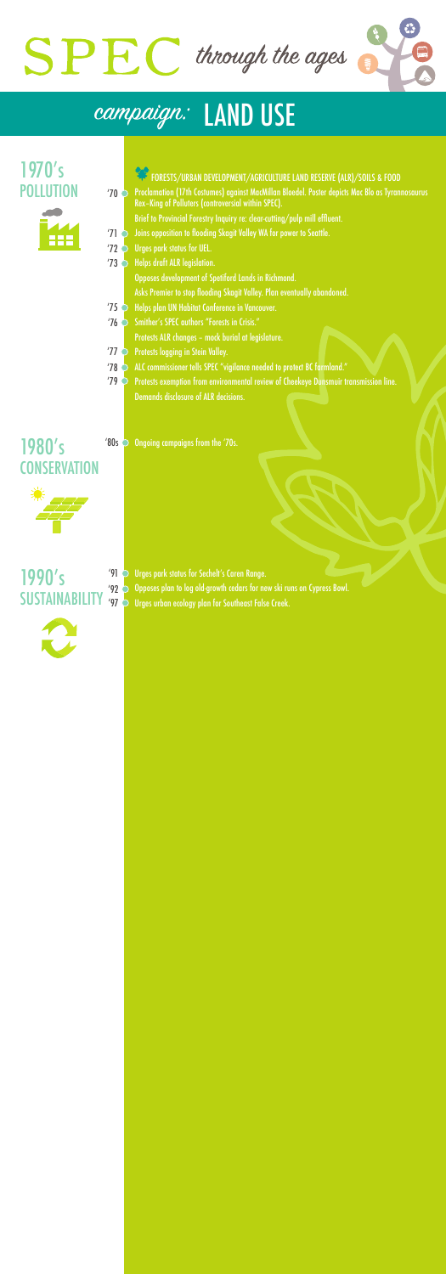- FORESTS/URBAN DEVELOPMENT/AGRICULTURE LAND RESERVE (ALR)/SOILS & FOOD
- Proclamation (17th Costumes) against MacMillan Bloedel. Poster depicts Mac Blo as Tyrannosaurus Rex–King of Polluters (controversial within SPEC). '70
	- Brief to Provincial Forestry Inquiry re: clear-cutting/pulp mill effluent.
- Joins opposition to flooding Skagit Valley WA for power to Seattle. '71
- Urges park status for UEL. '72
- '73 C Helps draft ALR legislation.
	- Opposes development of Spetiford Lands in Richmond.
	- Asks Premier to stop flooding Skagit Valley. Plan eventually abandoned.
- **Theory of the Septem UN Habitat Conference in Vancouver.**
- '76 C Smither's SPEC authors "Forests in Crisis." Protests ALR changes – mock burial at legislature.
- Protests logging in Stein Valley. '77
- ALC commissioner tells SPEC "vigilance needed to protect BC farmland." '78

## $'91$ 1990's



Urges park status for Sechelt's Caren Range.

'92  $\bigcirc$  Opposes plan to log old-growth cedars for new ski runs on Cypress Bowl. SUSTAINABILITY '97 S Urges urban ecology plan for Southeast False Creek.



Protests exemption from environmental review of Cheekeye Dunsmuir transmission line. Demands disclosure of ALR decisions. '79

Ongoing campaigns from the '70s.



## campaign: LAND USE

'80s **CONSERVATION** 1980's



POLLUTION 1970's

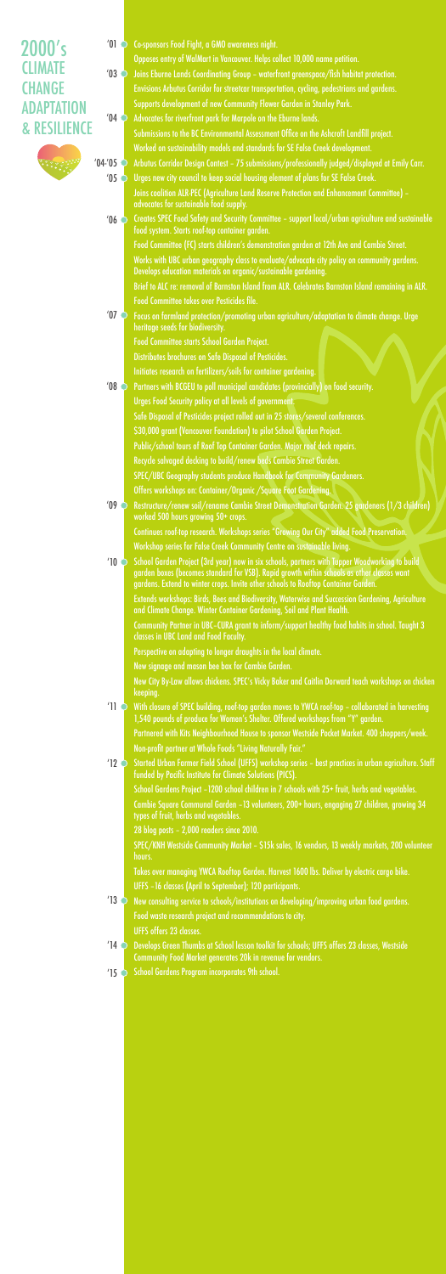## 2000's **CLIMATE CHANGE** ADAPTATION & RESILIENCE

Co-sponsors Food Fight, a GMO awareness night.  $^{\prime}01$ 



- Joins Eburne Lands Coordinating Group waterfront greenspace/fish habitat protection. Envisions Arbutus Corridor for streetcar transportation, cycling, pedestrians and gardens. Supports development of new Community Flower Garden in Stanley Park. '03
- Advocates for riverfront park for Marpole on the Eburne lands. Submissions to the BC Environmental Assessment Office on the Ashcroft Landfill project.  $'04$

Opposes entry of WalMart in Vancouver. Helps collect 10,000 name petition.

- Arbutus Corridor Design Contest 75 submissions/professionally judged/displayed at Emily Carr.  $'04-'05$ 
	- Urges new city council to keep social housing element of plans for SE False Creek. Joins coalition ALR-PEC (Agriculture Land Reserve Protection and Enhancement Committee) – advocates for sustainable food supply.  $'05$

Creates SPEC Food Safety and Security Committee – support local/urban agriculture and sustainable food system. Starts roof-top container garden.  $'06$ 

Worked on sustainability models and standards for SE False Creek development.

Works with UBC urban geography class to evaluate/advocate city policy on community gardens. Develops education materials on organic/sustainable gardening.

Food Committee (FC) starts children's demonstration garden at 12th Ave and Cambie Street.

Brief to ALC re: removal of Barnston Island from ALR. Celebrates Barnston Island remaining in ALR. Food Committee takes over Pesticides file.

- $^{\prime}$ 11  $\degree$  With closure of SPEC building, roof-top garden moves to YWCA roof-top collaborated in harvesting 1,540 pounds of produce for Women's Shelter. Offered workshops from "Y" garden. Partnered with Kits Neighbourhood House to sponsor Westside Pocket Market. 400 shoppers/week. Non-profit partner at Whole Foods "Living Naturally Fair."
- $'$ 12  $\bigcirc$  Started Urban Farmer Field School (UFFS) workshop series best practices in urban agriculture. Staff funded by Pacific Institute for Climate Solutions (PICS). School Gardens Project –1200 school children in 7 schools with 25+ fruit, herbs and vegetables.

- New consulting service to schools/institutions on developing/improving urban food gardens. Food waste research project and recommendations to city. UFFS offers 23 classes.  $'13$
- Develops Green Thumbs at School lesson toolkit for schools; UFFS offers 23 classes, Westside  $'14$   $\bigcirc$

Community Partner in UBC–CURA grant to inform/support healthy food habits in school. Taught 3 classes in UBC Land and Food Faculty.

Focus on farmland protection/promoting urban agriculture/adaptation to climate change. Urge heritage seeds for biodiversity. Food Committee starts School Garden Project. Distributes brochures on Safe Disposal of Pesticides. Initiates research on fertilizers/soils for container gardening. Partners with BCGEU to poll municipal candidates (provincially) on food security. Urges Food Security policy at all levels of government. Safe Disposal of Pesticides project rolled out in 25 stores/several conferences. \$30,000 grant (Vancouver Foundation) to pilot School Garden Project. Public/school tours of Roof Top Container Garden. Major roof deck repairs. Recycle salvaged decking to build/renew beds Cambie Street Garden. SPEC/UBC Geography students produce Handbook for Community Gardeners. Offers workshops on: Container/Organic /Square Foot Gardening. Restructure/renew soil/rename Cambie Street Demonstration Garden. 25 gardeners (1/3 children) worked 500 hours growing 50+ crops. Continues roof-top research. Workshops series "Growing Our City" added Food Preservation. Workshop series for False Creek Community Centre on sustainable living.  $^{\prime}$  10  $\bigcirc$  School Garden Project (3rd year) now in six schools, partners with Tupper Woodworking to build garden boxes (becomes standard for VSB). Rapid growth within schools as other classes want gardens. Extend to winter crops. Invite other schools to Rooftop Container Garden. Extends workshops: Birds, Bees and Biodiversity, Waterwise and Succession Gardening, Agriculture and Climate Change. Winter Container Gardening, Soil and Plant Health.  $'07$ '08 '09

Perspective on adapting to longer draughts in the local climate.

New signage and mason bee box for Cambie Garden.

New City By-Law allows chickens. SPEC's Vicky Baker and Caitlin Dorward teach workshops on chicken keeping.

Cambie Square Communal Garden –13 volunteers, 200+ hours, engaging 27 children, growing 34 types of fruit, herbs and vegetables.

28 blog posts – 2,000 readers since 2010.

SPEC/KNH Westside Community Market – \$15k sales, 16 vendors, 13 weekly markets, 200 volunteer hours.

Takes over managing YWCA Rooftop Garden. Harvest 1600 lbs. Deliver by electric cargo bike. UFFS –16 classes (April to September); 120 participants.

Community Food Market generates 20k in revenue for vendors.

School Gardens Program incorporates 9th school.

 $'15$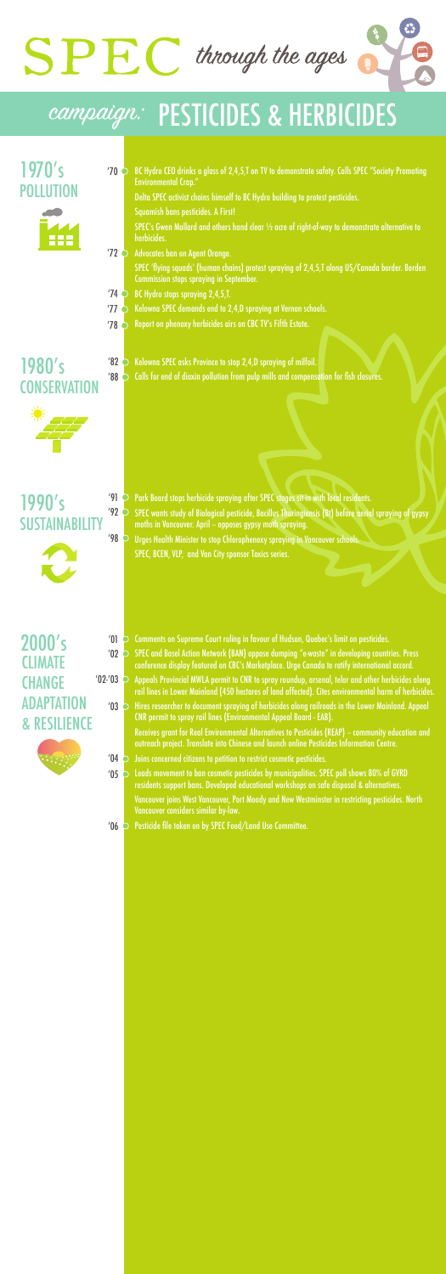Delta SPEC activist chains himself to BC Hydro building to protest pesticides.

Squamish bans pesticides. A First!

SPEC's Gwen Mallard and others hand clear ½ acre of right-of-way to demonstrate alternative to herbicides.

SPEC 'flying squads' (human chains) protest spraying of 2,4,5,T along US/Canada border. Borden Commission stops spraying in September.

- Comments on Supreme Court ruling in favour of Hudson, Quebec's limit on pesticides.
- SPEC and Basel Action Network (BAN) oppose dumping "e-waste" in developing countries. Press conference display featured on CBC's Marketplace. Urge Canada to ratify international accord. '02
- Appeals Provincial MWLA permit to CNR to spray roundup, arsenal, telar and other herbicides along rail lines in Lower Mainland (450 hectares of land affected). Cites environmental harm of herbicides.  $'02$ -'03
	- $^{\prime}03$   $\circlearrowright$  Hires researcher to document spraying of herbicides along railroads in the Lower Mainland. Appeal CNR permit to spray rail lines (Environmental Appeal Board - EAB).
		- Receives grant for Real Environmental Alternatives to Pesticides (REAP) community education and outreach project. Translate into Chinese and launch online Pesticides Information Centre.
	- Joins concerned citizens to petition to restrict cosmetic pesticides.  $'04$
	- Leads movement to ban cosmetic pesticides by municipalities. SPEC poll shows 80% of GVRD residents support bans. Developed educational workshops on safe disposal & alternatives. Vancouver joins West Vancouver, Port Moody and New Westminster in restricting pesticides. North Vancouver considers similar by-law.  $'05$
	- Pesticide file taken on by SPEC Food/Land Use Committee.  $'06$

BC Hydro CEO drinks a glass of 2,4,5,T on TV to demonstrate safety. Calls SPEC "Society Promoting Environmental Crap." '70

Advocates ban on Agent Orange. '72

BC Hydro stops spraying 2,4,5,T. '74

## **CONSERVATION** 1980's

Kelowna SPEC demands end to 2,4,D spraying at Vernon schools. '77

Report on phenoxy herbicides airs on CBC TV's Fifth Estate. '78

Kelowna SPEC asks Province to stop 2,4,D spraying of milfoil. Calls for end of dioxin pollution from pulp mills and compensation for fish closures. '88

Park Board stops herbicide spraying after SPEC stages sit-in with local residents. SPEC wants study of Biological pesticide, Bacillus Thuringiensis (Bt) before aerial spraying of gypsy moths in Vancouver. April – opposes gypsy moth spraying. Urges Health Minister to stop Chlorophenoxy spraying in Vancouver schools. SPEC, BCEN, VLP, and Van City sponsor Toxics series.  $'92$ '98

'82



'01

### '91 SUSTAINABILITY 1990's





## campaign: PESTICIDES & HERBICIDES

POLLUTION 1970's



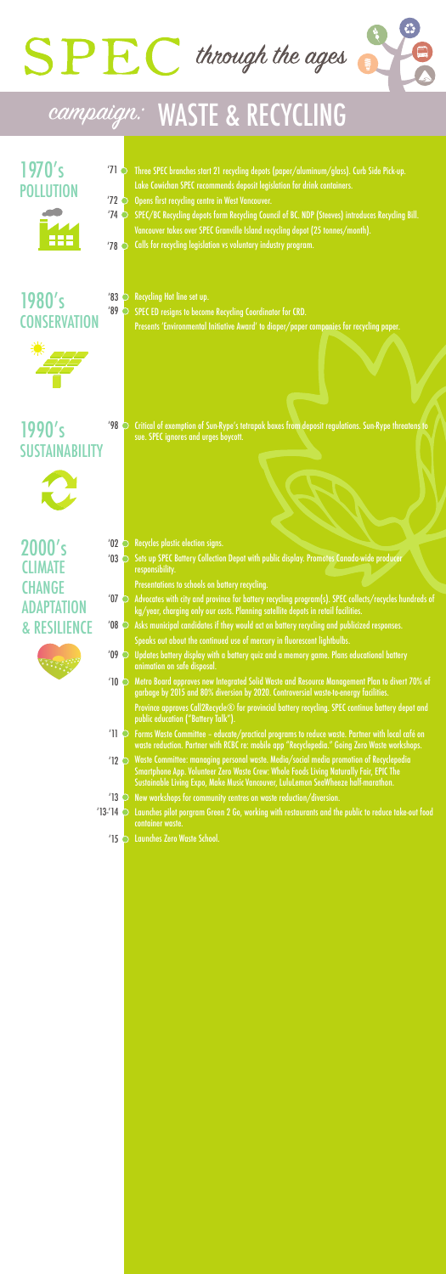

# SPRC through the ages

Critical of exemption of Sun-Rype's tetrapak boxes from deposit regulations. Sun-Rype threatens to sue. SPEC ignores and urges boycott.

- Recycles plastic election signs.  $'02$
- Sets up SPEC Battery Collection Depot with public display. Promotes Canada-wide producer responsibility.  $'03$

Presents 'Environmental Initiative Award' to diaper/paper companies for recycling paper.

Presentations to schools on battery recycling.

- $\sim$  4000  $\,$  Advocates with city and province for battery recycling program(s). SPEC collects/recycles hundreds of kg/year, charging only our costs. Planning satellite depots in retail facilities.
- Asks municipal candidates if they would act on battery recycling and publicized responses. '08



- Three SPEC branches start 21 recycling depots (paper/aluminum/glass). Curb Side Pick-up. Lake Cowichan SPEC recommends deposit legislation for drink containers. '71
- Opens first recycling centre in West Vancouver. '72
- SPEC/BC Recycling depots form Recycling Council of BC. NDP (Steeves) introduces Recycling Bill. Vancouver takes over SPEC Granville Island recycling depot (25 tonnes/month). '74
- Calls for recycling legislation vs voluntary industry program. '78

- Recycling Hot line set up.
- SPEC ED resigns to become Recycling Coordinator for CRD. '89

### **CONSERVATION**



- Speaks out about the continued use of mercury in fluorescent lightbulbs.
- Updates battery display with a battery quiz and a memory game. Plans educational battery animation on safe disposal.  $'09$
- $^{\prime}$ 10  $\bigcirc$  Metro Board approves new Integrated Solid Waste and Resource Management Plan to divert 70% of garbage by 2015 and 80% diversion by 2020. Controversial waste-to-energy facilities. Province approves Call2Recycle® for provincial battery recycling. SPEC continue battery depot and public education ("Battery Talk").
- $^{\prime}$ 11  $\circ$  Forms Waste Committee educate/practical programs to reduce waste. Partner with local café on  $^{\prime}$ waste reduction. Partner with RCBC re: mobile app "Recyclepedia." Going Zero Waste workshops.
- Waste Committee: managing personal waste. Media/social media promotion of Recyclepedia Smartphone App. Volunteer Zero Waste Crew: Whole Foods Living Naturally Fair, EPIC The Sustainable Living Expo, Make Music Vancouver, LuluLemon SeaWheeze half-marathon.  $'12$   $\bigcirc$
- $'13$   $\bigcirc$  New workshops for community centres on waste reduction/diversion.
- Launches pilot porgram Green 2 Go, working with restaurants and the public to reduce take-out food container waste.  $'13-'14$   $\odot$ 
	- Launches Zero Waste School. '15



#### '98 SUSTAINABILITY 1990's



## campaign: WASTE & RECYCLING

POLLUTION 1970's



1980's